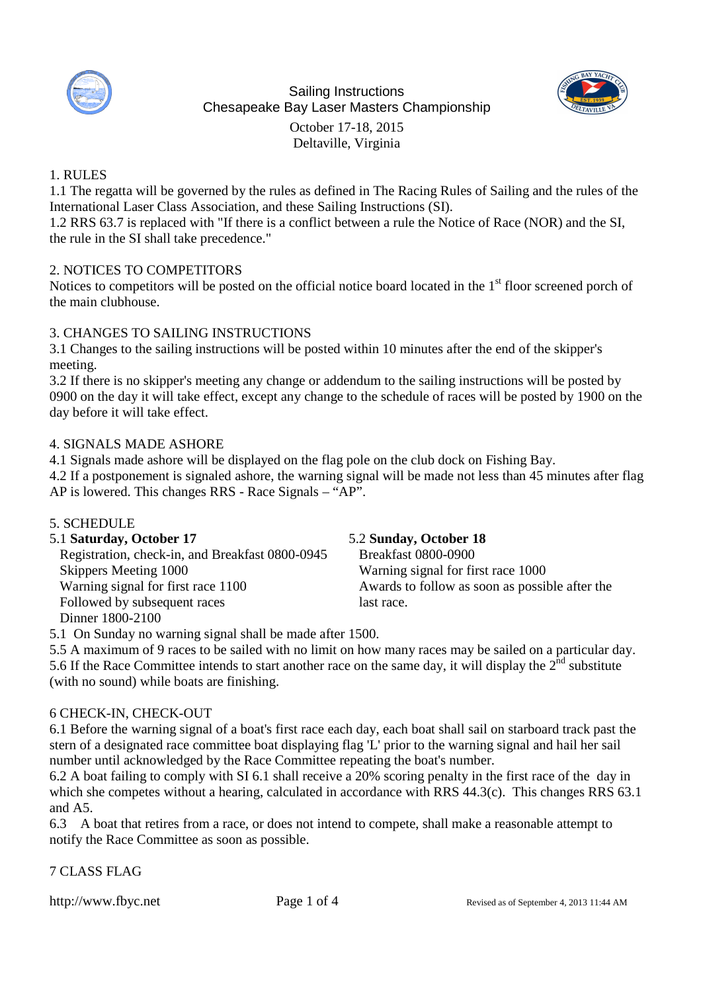

Sailing Instructions Chesapeake Bay Laser Masters Championship October 17-18, 2015 Deltaville, Virginia



## 1. RULES

1.1 The regatta will be governed by the rules as defined in The Racing Rules of Sailing and the rules of the International Laser Class Association, and these Sailing Instructions (SI).

1.2 RRS 63.7 is replaced with "If there is a conflict between a rule the Notice of Race (NOR) and the SI, the rule in the SI shall take precedence."

## 2. NOTICES TO COMPETITORS

Notices to competitors will be posted on the official notice board located in the 1<sup>st</sup> floor screened porch of the main clubhouse.

### 3. CHANGES TO SAILING INSTRUCTIONS

3.1 Changes to the sailing instructions will be posted within 10 minutes after the end of the skipper's meeting.

3.2 If there is no skipper's meeting any change or addendum to the sailing instructions will be posted by 0900 on the day it will take effect, except any change to the schedule of races will be posted by 1900 on the day before it will take effect.

### 4. SIGNALS MADE ASHORE

4.1 Signals made ashore will be displayed on the flag pole on the club dock on Fishing Bay.

4.2 If a postponement is signaled ashore, the warning signal will be made not less than 45 minutes after flag AP is lowered. This changes RRS - Race Signals – "AP".

### 5. SCHEDULE

| 5.1 Saturday, October 17                        | 5.2 Sunday, October 18                         |
|-------------------------------------------------|------------------------------------------------|
| Registration, check-in, and Breakfast 0800-0945 | <b>Breakfast 0800-0900</b>                     |
| Skippers Meeting 1000                           | Warning signal for first race 1000             |
| Warning signal for first race 1100              | Awards to follow as soon as possible after the |
| Followed by subsequent races                    | last race.                                     |
| Dinner 1800-2100                                |                                                |

5.1 On Sunday no warning signal shall be made after 1500.

5.5 A maximum of 9 races to be sailed with no limit on how many races may be sailed on a particular day. 5.6 If the Race Committee intends to start another race on the same day, it will display the  $2<sup>nd</sup>$  substitute (with no sound) while boats are finishing.

### 6 CHECK-IN, CHECK-OUT

6.1 Before the warning signal of a boat's first race each day, each boat shall sail on starboard track past the stern of a designated race committee boat displaying flag 'L' prior to the warning signal and hail her sail number until acknowledged by the Race Committee repeating the boat's number.

6.2 A boat failing to comply with SI 6.1 shall receive a 20% scoring penalty in the first race of the day in which she competes without a hearing, calculated in accordance with RRS 44.3(c). This changes RRS 63.1 and A5.

6.3 A boat that retires from a race, or does not intend to compete, shall make a reasonable attempt to notify the Race Committee as soon as possible.

7 CLASS FLAG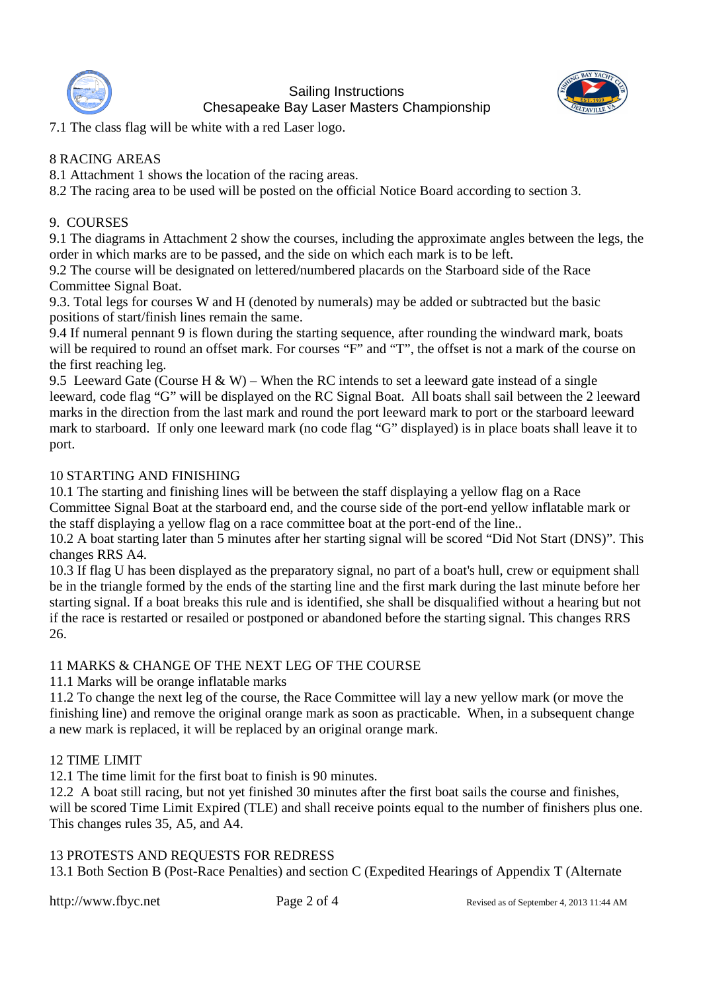

Sailing Instructions Chesapeake Bay Laser Masters Championship



7.1 The class flag will be white with a red Laser logo.

## 8 RACING AREAS

8.1 Attachment 1 shows the location of the racing areas.

8.2 The racing area to be used will be posted on the official Notice Board according to section 3.

## 9. COURSES

9.1 The diagrams in Attachment 2 show the courses, including the approximate angles between the legs, the order in which marks are to be passed, and the side on which each mark is to be left.

9.2 The course will be designated on lettered/numbered placards on the Starboard side of the Race Committee Signal Boat.

9.3. Total legs for courses W and H (denoted by numerals) may be added or subtracted but the basic positions of start/finish lines remain the same.

9.4 If numeral pennant 9 is flown during the starting sequence, after rounding the windward mark, boats will be required to round an offset mark. For courses "F" and "T", the offset is not a mark of the course on the first reaching leg.

9.5 Leeward Gate (Course H & W) – When the RC intends to set a leeward gate instead of a single leeward, code flag "G" will be displayed on the RC Signal Boat. All boats shall sail between the 2 leeward marks in the direction from the last mark and round the port leeward mark to port or the starboard leeward mark to starboard. If only one leeward mark (no code flag "G" displayed) is in place boats shall leave it to port.

## 10 STARTING AND FINISHING

10.1 The starting and finishing lines will be between the staff displaying a yellow flag on a Race Committee Signal Boat at the starboard end, and the course side of the port-end yellow inflatable mark or the staff displaying a yellow flag on a race committee boat at the port-end of the line..

10.2 A boat starting later than 5 minutes after her starting signal will be scored "Did Not Start (DNS)". This changes RRS A4.

10.3 If flag U has been displayed as the preparatory signal, no part of a boat's hull, crew or equipment shall be in the triangle formed by the ends of the starting line and the first mark during the last minute before her starting signal. If a boat breaks this rule and is identified, she shall be disqualified without a hearing but not if the race is restarted or resailed or postponed or abandoned before the starting signal. This changes RRS 26.

## 11 MARKS & CHANGE OF THE NEXT LEG OF THE COURSE

11.1 Marks will be orange inflatable marks

11.2 To change the next leg of the course, the Race Committee will lay a new yellow mark (or move the finishing line) and remove the original orange mark as soon as practicable. When, in a subsequent change a new mark is replaced, it will be replaced by an original orange mark.

## 12 TIME LIMIT

12.1 The time limit for the first boat to finish is 90 minutes.

12.2 A boat still racing, but not yet finished 30 minutes after the first boat sails the course and finishes, will be scored Time Limit Expired (TLE) and shall receive points equal to the number of finishers plus one. This changes rules 35, A5, and A4.

### 13 PROTESTS AND REQUESTS FOR REDRESS

13.1 Both Section B (Post-Race Penalties) and section C (Expedited Hearings of Appendix T (Alternate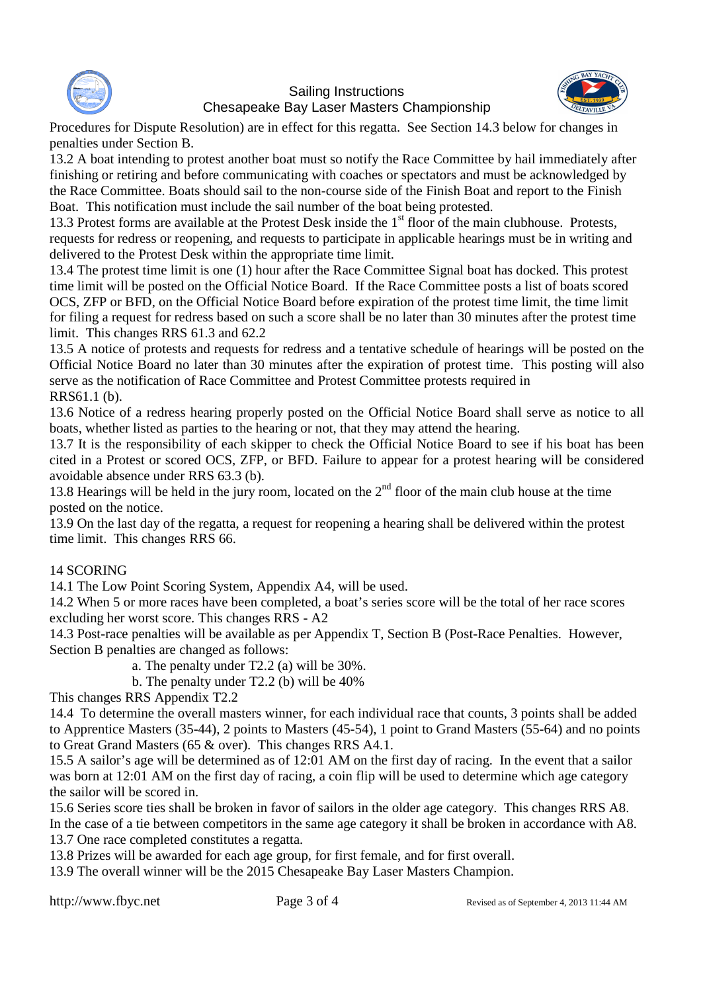

## Sailing Instructions Chesapeake Bay Laser Masters Championship



Procedures for Dispute Resolution) are in effect for this regatta. See Section 14.3 below for changes in penalties under Section B.

13.2 A boat intending to protest another boat must so notify the Race Committee by hail immediately after finishing or retiring and before communicating with coaches or spectators and must be acknowledged by the Race Committee. Boats should sail to the non-course side of the Finish Boat and report to the Finish Boat. This notification must include the sail number of the boat being protested.

13.3 Protest forms are available at the Protest Desk inside the  $1<sup>st</sup>$  floor of the main clubhouse. Protests, requests for redress or reopening, and requests to participate in applicable hearings must be in writing and delivered to the Protest Desk within the appropriate time limit.

13.4 The protest time limit is one (1) hour after the Race Committee Signal boat has docked. This protest time limit will be posted on the Official Notice Board. If the Race Committee posts a list of boats scored OCS, ZFP or BFD, on the Official Notice Board before expiration of the protest time limit, the time limit for filing a request for redress based on such a score shall be no later than 30 minutes after the protest time limit. This changes RRS 61.3 and 62.2

13.5 A notice of protests and requests for redress and a tentative schedule of hearings will be posted on the Official Notice Board no later than 30 minutes after the expiration of protest time. This posting will also serve as the notification of Race Committee and Protest Committee protests required in RRS61.1 (b).

13.6 Notice of a redress hearing properly posted on the Official Notice Board shall serve as notice to all boats, whether listed as parties to the hearing or not, that they may attend the hearing.

13.7 It is the responsibility of each skipper to check the Official Notice Board to see if his boat has been cited in a Protest or scored OCS, ZFP, or BFD. Failure to appear for a protest hearing will be considered avoidable absence under RRS 63.3 (b).

13.8 Hearings will be held in the jury room, located on the 2<sup>nd</sup> floor of the main club house at the time posted on the notice.

13.9 On the last day of the regatta, a request for reopening a hearing shall be delivered within the protest time limit. This changes RRS 66.

## 14 SCORING

14.1 The Low Point Scoring System, Appendix A4, will be used.

14.2 When 5 or more races have been completed, a boat's series score will be the total of her race scores excluding her worst score. This changes RRS - A2

14.3 Post-race penalties will be available as per Appendix T, Section B (Post-Race Penalties. However, Section B penalties are changed as follows:

a. The penalty under T2.2 (a) will be 30%.

b. The penalty under T2.2 (b) will be 40%

This changes RRS Appendix T2.2

14.4 To determine the overall masters winner, for each individual race that counts, 3 points shall be added to Apprentice Masters (35-44), 2 points to Masters (45-54), 1 point to Grand Masters (55-64) and no points to Great Grand Masters (65 & over). This changes RRS A4.1.

15.5 A sailor's age will be determined as of 12:01 AM on the first day of racing. In the event that a sailor was born at 12:01 AM on the first day of racing, a coin flip will be used to determine which age category the sailor will be scored in.

15.6 Series score ties shall be broken in favor of sailors in the older age category. This changes RRS A8.

In the case of a tie between competitors in the same age category it shall be broken in accordance with A8. 13.7 One race completed constitutes a regatta.

13.8 Prizes will be awarded for each age group, for first female, and for first overall.

13.9 The overall winner will be the 2015 Chesapeake Bay Laser Masters Champion.